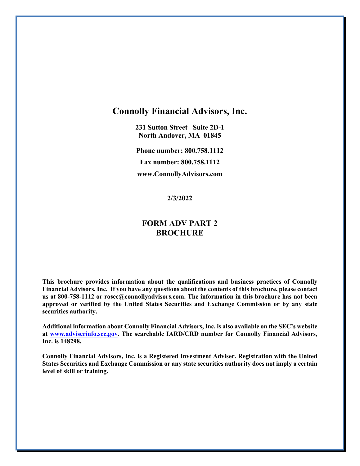# **Connolly Financial Advisors, Inc.**

**231 Sutton Street Suite 2D-1 North Andover, MA 01845**

**Phone number: 800.758.1112 Fax number: 800.758.1112 www.ConnollyAdvisors.com**

**2/3/2022**

# **FORM ADV PART 2 BROCHURE**

**This brochure provides information about the qualifications and business practices of Connolly Financial Advisors, Inc. If you have any questions about the contents of this brochure, please contact us at 800-758-1112 or rosec@connollyadvisors.com. The information in this brochure has not been approved or verified by the United States Securities and Exchange Commission or by any state securities authority.**

**Additional information about Connolly Financial Advisors, Inc. is also available on the SEC's website at [www.adviserinfo.sec.gov.](http://www.adviserinfo.sec.gov/) The searchable IARD/CRD number for Connolly Financial Advisors, Inc. is 148298.** 

**Connolly Financial Advisors, Inc. is a Registered Investment Adviser. Registration with the United States Securities and Exchange Commission or any state securities authority does not imply a certain level of skill or training.**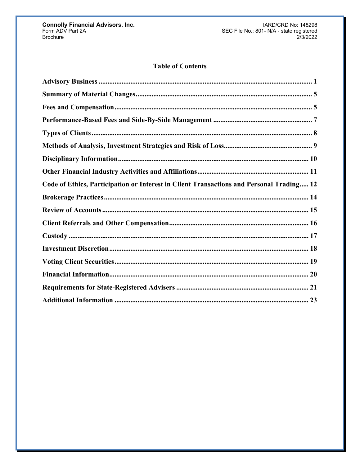# **Table of Contents**

| Code of Ethics, Participation or Interest in Client Transactions and Personal Trading 12 |
|------------------------------------------------------------------------------------------|
|                                                                                          |
|                                                                                          |
|                                                                                          |
|                                                                                          |
|                                                                                          |
|                                                                                          |
|                                                                                          |
|                                                                                          |
|                                                                                          |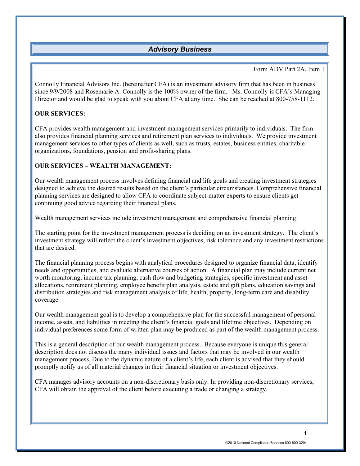# *Advisory Business*

#### Form ADV Part 2A, Item 1

<span id="page-2-0"></span>Connolly Financial Advisors Inc. (hereinafter CFA) is an investment advisory firm that has been in business since 9/9/2008 and Rosemarie A. Connolly is the 100% owner of the firm. Ms. Connolly is CFA's Managing Director and would be glad to speak with you about CFA at any time. She can be reached at 800-758-1112.

### **OUR SERVICES:**

CFA provides wealth management and investment management services primarily to individuals. The firm also provides financial planning services and retirement plan services to individuals. We provide investment management services to other types of clients as well, such as trusts, estates, business entities, charitable organizations, foundations, pension and profit-sharing plans.

### **OUR SERVICES – WEALTH MANAGEMENT:**

Our wealth management process involves defining financial and life goals and creating investment strategies designed to achieve the desired results based on the client's particular circumstances. Comprehensive financial planning services are designed to allow CFA to coordinate subject-matter experts to ensure clients get continuing good advice regarding their financial plans.

Wealth management services include investment management and comprehensive financial planning:

The starting point for the investment management process is deciding on an investment strategy. The client's investment strategy will reflect the client's investment objectives, risk tolerance and any investment restrictions that are desired.

The financial planning process begins with analytical procedures designed to organize financial data, identify needs and opportunities, and evaluate alternative courses of action. A financial plan may include current net worth monitoring, income tax planning, cash flow and budgeting strategies, specific investment and asset allocations, retirement planning, employee benefit plan analysis, estate and gift plans, education savings and distribution strategies and risk management analysis of life, health, property, long-term care and disability coverage.

Our wealth management goal is to develop a comprehensive plan for the successful management of personal income, assets, and liabilities in meeting the client's financial goals and lifetime objectives. Depending on individual preferences some form of written plan may be produced as part of the wealth management process.

This is a general description of our wealth management process. Because everyone is unique this general description does not discuss the many individual issues and factors that may be involved in our wealth management process. Due to the dynamic nature of a client's life, each client is advised that they should promptly notify us of all material changes in their financial situation or investment objectives.

CFA manages advisory accounts on a non-discretionary basis only. In providing non-discretionary services, CFA will obtain the approval of the client before executing a trade or changing a strategy.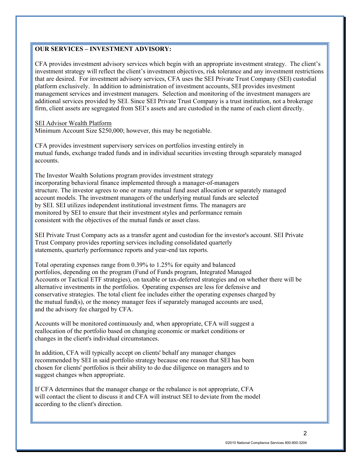## **OUR SERVICES – INVESTMENT ADVISORY:**

CFA provides investment advisory services which begin with an appropriate investment strategy. The client's investment strategy will reflect the client's investment objectives, risk tolerance and any investment restrictions that are desired. For investment advisory services, CFA uses the SEI Private Trust Company (SEI) custodial platform exclusively. In addition to administration of investment accounts, SEI provides investment management services and investment managers. Selection and monitoring of the investment managers are additional services provided by SEI. Since SEI Private Trust Company is a trust institution, not a brokerage firm, client assets are segregated from SEI's assets and are custodied in the name of each client directly.

SEI Advisor Wealth Platform Minimum Account Size \$250,000; however, this may be negotiable.

CFA provides investment supervisory services on portfolios investing entirely in mutual funds, exchange traded funds and in individual securities investing through separately managed accounts.

The Investor Wealth Solutions program provides investment strategy incorporating behavioral finance implemented through a manager-of-managers structure. The investor agrees to one or many mutual fund asset allocation or separately managed account models. The investment managers of the underlying mutual funds are selected by SEI. SEI utilizes independent institutional investment firms. The managers are monitored by SEI to ensure that their investment styles and performance remain consistent with the objectives of the mutual funds or asset class.

SEI Private Trust Company acts as a transfer agent and custodian for the investor's account. SEI Private Trust Company provides reporting services including consolidated quarterly statements, quarterly performance reports and year-end tax reports.

Total operating expenses range from 0.39% to 1.25% for equity and balanced portfolios, depending on the program (Fund of Funds program, Integrated Managed Accounts or Tactical ETF strategies), on taxable or tax-deferred strategies and on whether there will be alternative investments in the portfolios. Operating expenses are less for defensive and conservative strategies. The total client fee includes either the operating expenses charged by the mutual fund(s), or the money manager fees if separately managed accounts are used, and the advisory fee charged by CFA.

Accounts will be monitored continuously and, when appropriate, CFA will suggest a reallocation of the portfolio based on changing economic or market conditions or changes in the client's individual circumstances.

In addition, CFA will typically accept on clients' behalf any manager changes recommended by SEI in said portfolio strategy because one reason that SEI has been chosen for clients' portfolios is their ability to do due diligence on managers and to suggest changes when appropriate.

If CFA determines that the manager change or the rebalance is not appropriate, CFA will contact the client to discuss it and CFA will instruct SEI to deviate from the model according to the client's direction.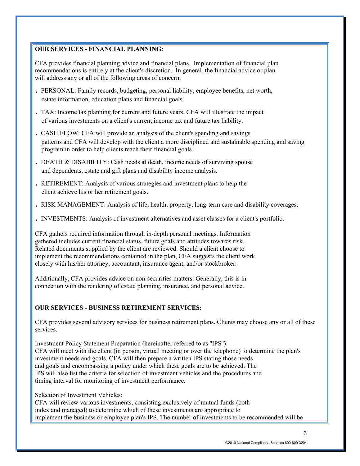### **OUR SERVICES - FINANCIAL PLANNING:**

CFA provides financial planning advice and financial plans. Implementation of financial plan recommendations is entirely at the client's discretion. In general, the financial advice or plan will address any or all of the following areas of concern:

- . PERSONAL: Family records, budgeting, personal liability, employee benefits, net worth, estate information, education plans and financial goals.
- . TAX: Income tax planning for current and future years. CFA will illustrate the impact of various investments on a client's current income tax and future tax liability.
- . CASH FLOW: CFA will provide an analysis of the client's spending and savings patterns and CFA will develop with the client a more disciplined and sustainable spending and saving program in order to help clients reach their financial goals.
- . DEATH & DISABILITY: Cash needs at death, income needs of surviving spouse and dependents, estate and gift plans and disability income analysis.
- . RETIREMENT: Analysis of various strategies and investment plans to help the client achieve his or her retirement goals.
- . RISK MANAGEMENT: Analysis of life, health, property, long-term care and disability coverages.
- . INVESTMENTS: Analysis of investment alternatives and asset classes for a client's portfolio.

CFA gathers required information through in-depth personal meetings. Information gathered includes current financial status, future goals and attitudes towards risk. Related documents supplied by the client are reviewed. Should a client choose to implement the recommendations contained in the plan, CFA suggests the client work closely with his/her attorney, accountant, insurance agent, and/or stockbroker.

Additionally, CFA provides advice on non-securities matters. Generally, this is in connection with the rendering of estate planning, insurance, and personal advice.

### **OUR SERVICES - BUSINESS RETIREMENT SERVICES:**

CFA provides several advisory services for business retirement plans. Clients may choose any or all of these services.

Investment Policy Statement Preparation (hereinafter referred to as ''IPS''): CFA will meet with the client (in person, virtual meeting or over the telephone) to determine the plan's investment needs and goals. CFA will then prepare a written IPS stating those needs and goals and encompassing a policy under which these goals are to be achieved. The IPS will also list the criteria for selection of investment vehicles and the procedures and timing interval for monitoring of investment performance.

Selection of Investment Vehicles:

CFA will review various investments, consisting exclusively of mutual funds (both index and managed) to determine which of these investments are appropriate to implement the business or employee plan's IPS. The number of investments to be recommended will be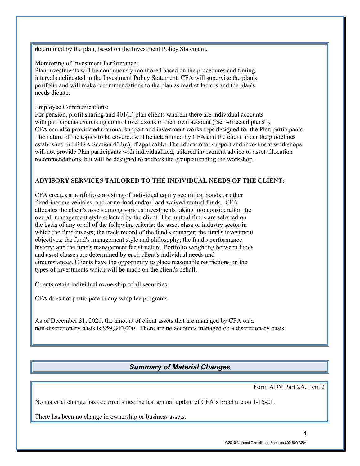determined by the plan, based on the Investment Policy Statement.

Monitoring of Investment Performance:

Plan investments will be continuously monitored based on the procedures and timing intervals delineated in the Investment Policy Statement. CFA will supervise the plan's portfolio and will make recommendations to the plan as market factors and the plan's needs dictate.

#### Employee Communications:

For pension, profit sharing and  $401(k)$  plan clients wherein there are individual accounts with participants exercising control over assets in their own account ("self-directed plans"), CFA can also provide educational support and investment workshops designed for the Plan participants. The nature of the topics to be covered will be determined by CFA and the client under the guidelines established in ERISA Section 404(c), if applicable. The educational support and investment workshops will not provide Plan participants with individualized, tailored investment advice or asset allocation recommendations, but will be designed to address the group attending the workshop.

### **ADVISORY SERVICES TAILORED TO THE INDIVIDUAL NEEDS OF THE CLIENT:**

CFA creates a portfolio consisting of individual equity securities, bonds or other fixed-income vehicles, and/or no-load and/or load-waived mutual funds. CFA allocates the client's assets among various investments taking into consideration the overall management style selected by the client. The mutual funds are selected on the basis of any or all of the following criteria: the asset class or industry sector in which the fund invests; the track record of the fund's manager; the fund's investment objectives; the fund's management style and philosophy; the fund's performance history; and the fund's management fee structure. Portfolio weighting between funds and asset classes are determined by each client's individual needs and circumstances. Clients have the opportunity to place reasonable restrictions on the types of investments which will be made on the client's behalf.

Clients retain individual ownership of all securities.

CFA does not participate in any wrap fee programs.

As of December 31, 2021, the amount of client assets that are managed by CFA on a non-discretionary basis is \$59,840,000. There are no accounts managed on a discretionary basis.

# *Summary of Material Changes*

Form ADV Part 2A, Item 2

No material change has occurred since the last annual update of CFA's brochure on 1-15-21.

There has been no change in ownership or business assets.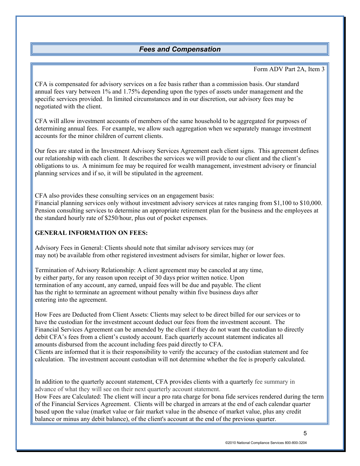# *Fees and Compensation*

#### Form ADV Part 2A, Item 3

<span id="page-6-0"></span>CFA is compensated for advisory services on a fee basis rather than a commission basis. Our standard annual fees vary between 1% and 1.75% depending upon the types of assets under management and the specific services provided. In limited circumstances and in our discretion, our advisory fees may be negotiated with the client.

CFA will allow investment accounts of members of the same household to be aggregated for purposes of determining annual fees. For example, we allow such aggregation when we separately manage investment accounts for the minor children of current clients.

Our fees are stated in the Investment Advisory Services Agreement each client signs. This agreement defines our relationship with each client. It describes the services we will provide to our client and the client's obligations to us. A minimum fee may be required for wealth management, investment advisory or financial planning services and if so, it will be stipulated in the agreement.

CFA also provides these consulting services on an engagement basis:

Financial planning services only without investment advisory services at rates ranging from \$1,100 to \$10,000. Pension consulting services to determine an appropriate retirement plan for the business and the employees at the standard hourly rate of \$250/hour, plus out of pocket expenses.

### **GENERAL INFORMATION ON FEES:**

Advisory Fees in General: Clients should note that similar advisory services may (or may not) be available from other registered investment advisers for similar, higher or lower fees.

Termination of Advisory Relationship: A client agreement may be canceled at any time, by either party, for any reason upon receipt of 30 days prior written notice. Upon termination of any account, any earned, unpaid fees will be due and payable. The client has the right to terminate an agreement without penalty within five business days after entering into the agreement.

How Fees are Deducted from Client Assets: Clients may select to be direct billed for our services or to have the custodian for the investment account deduct our fees from the investment account. The Financial Services Agreement can be amended by the client if they do not want the custodian to directly debit CFA's fees from a client's custody account. Each quarterly account statement indicates all amounts disbursed from the account including fees paid directly to CFA.

Clients are informed that it is their responsibility to verify the accuracy of the custodian statement and fee calculation. The investment account custodian will not determine whether the fee is properly calculated.

In addition to the quarterly account statement, CFA provides clients with a quarterly fee summary in advance of what they will see on their next quarterly account statement.

How Fees are Calculated: The client will incur a pro rata charge for bona fide services rendered during the term of the Financial Services Agreement. Clients will be charged in arrears at the end of each calendar quarter based upon the value (market value or fair market value in the absence of market value, plus any credit balance or minus any debit balance), of the client's account at the end of the previous quarter.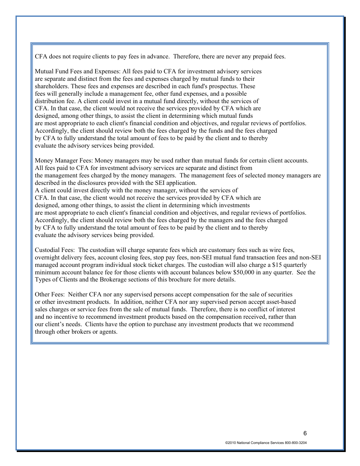CFA does not require clients to pay fees in advance. Therefore, there are never any prepaid fees.

Mutual Fund Fees and Expenses: All fees paid to CFA for investment advisory services are separate and distinct from the fees and expenses charged by mutual funds to their shareholders. These fees and expenses are described in each fund's prospectus. These fees will generally include a management fee, other fund expenses, and a possible distribution fee. A client could invest in a mutual fund directly, without the services of CFA. In that case, the client would not receive the services provided by CFA which are designed, among other things, to assist the client in determining which mutual funds are most appropriate to each client's financial condition and objectives, and regular reviews of portfolios. Accordingly, the client should review both the fees charged by the funds and the fees charged by CFA to fully understand the total amount of fees to be paid by the client and to thereby evaluate the advisory services being provided.

Money Manager Fees: Money managers may be used rather than mutual funds for certain client accounts. All fees paid to CFA for investment advisory services are separate and distinct from the management fees charged by the money managers. The management fees of selected money managers are described in the disclosures provided with the SEI application. A client could invest directly with the money manager, without the services of CFA. In that case, the client would not receive the services provided by CFA which are designed, among other things, to assist the client in determining which investments are most appropriate to each client's financial condition and objectives, and regular reviews of portfolios. Accordingly, the client should review both the fees charged by the managers and the fees charged by CFA to fully understand the total amount of fees to be paid by the client and to thereby evaluate the advisory services being provided.

Custodial Fees: The custodian will charge separate fees which are customary fees such as wire fees, overnight delivery fees, account closing fees, stop pay fees, non-SEI mutual fund transaction fees and non-SEI managed account program individual stock ticket charges. The custodian will also charge a \$15 quarterly minimum account balance fee for those clients with account balances below \$50,000 in any quarter. See the Types of Clients and the Brokerage sections of this brochure for more details.

Other Fees: Neither CFA nor any supervised persons accept compensation for the sale of securities or other investment products. In addition, neither CFA nor any supervised person accept asset-based sales charges or service fees from the sale of mutual funds. Therefore, there is no conflict of interest and no incentive to recommend investment products based on the compensation received, rather than our client's needs. Clients have the option to purchase any investment products that we recommend through other brokers or agents.

6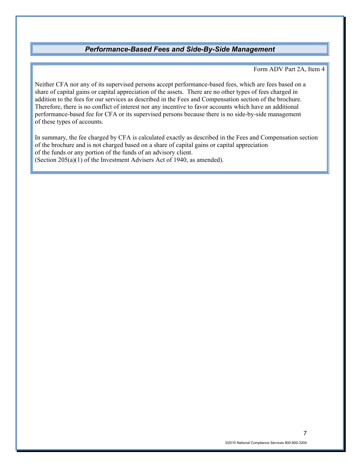### *Performance-Based Fees and Side-By-Side Management*

#### Form ADV Part 2A, Item 4

<span id="page-8-0"></span>Neither CFA nor any of its supervised persons accept performance-based fees, which are fees based on a share of capital gains or capital appreciation of the assets. There are no other types of fees charged in addition to the fees for our services as described in the Fees and Compensation section of the brochure. Therefore, there is no conflict of interest nor any incentive to favor accounts which have an additional performance-based fee for CFA or its supervised persons because there is no side-by-side management of these types of accounts.

In summary, the fee charged by CFA is calculated exactly as described in the Fees and Compensation section of the brochure and is not charged based on a share of capital gains or capital appreciation of the funds or any portion of the funds of an advisory client. (Section 205(a)(1) of the Investment Advisers Act of 1940, as amended).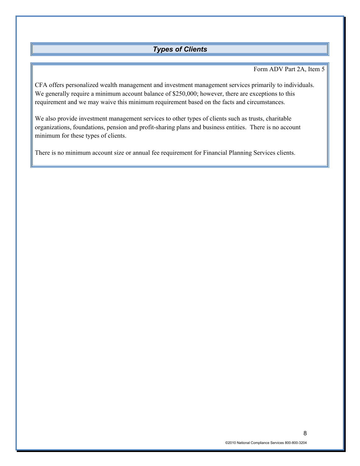# *Types of Clients*

#### Form ADV Part 2A, Item 5

<span id="page-9-0"></span>CFA offers personalized wealth management and investment management services primarily to individuals. We generally require a minimum account balance of \$250,000; however, there are exceptions to this requirement and we may waive this minimum requirement based on the facts and circumstances.

We also provide investment management services to other types of clients such as trusts, charitable organizations, foundations, pension and profit-sharing plans and business entities. There is no account minimum for these types of clients.

There is no minimum account size or annual fee requirement for Financial Planning Services clients.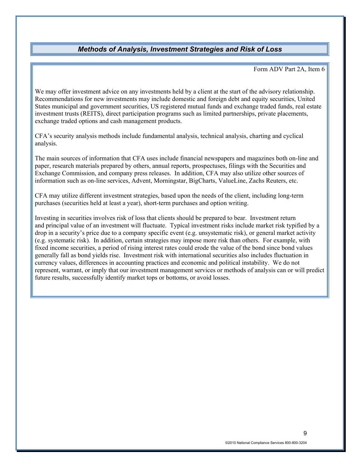### *Methods of Analysis, Investment Strategies and Risk of Loss*

Form ADV Part 2A, Item 6

<span id="page-10-0"></span>We may offer investment advice on any investments held by a client at the start of the advisory relationship. Recommendations for new investments may include domestic and foreign debt and equity securities, United States municipal and government securities, US registered mutual funds and exchange traded funds, real estate investment trusts (REITS), direct participation programs such as limited partnerships, private placements, exchange traded options and cash management products.

CFA's security analysis methods include fundamental analysis, technical analysis, charting and cyclical analysis.

The main sources of information that CFA uses include financial newspapers and magazines both on-line and paper, research materials prepared by others, annual reports, prospectuses, filings with the Securities and Exchange Commission, and company press releases. In addition, CFA may also utilize other sources of information such as on-line services, Advent, Morningstar, BigCharts, ValueLine, Zachs Reuters, etc.

CFA may utilize different investment strategies, based upon the needs of the client, including long-term purchases (securities held at least a year), short-term purchases and option writing.

Investing in securities involves risk of loss that clients should be prepared to bear. Investment return and principal value of an investment will fluctuate. Typical investment risks include market risk typified by a drop in a security's price due to a company specific event (e.g. unsystematic risk), or general market activity (e.g. systematic risk). In addition, certain strategies may impose more risk than others. For example, with fixed income securities, a period of rising interest rates could erode the value of the bond since bond values generally fall as bond yields rise. Investment risk with international securities also includes fluctuation in currency values, differences in accounting practices and economic and political instability. We do not represent, warrant, or imply that our investment management services or methods of analysis can or will predict future results, successfully identify market tops or bottoms, or avoid losses.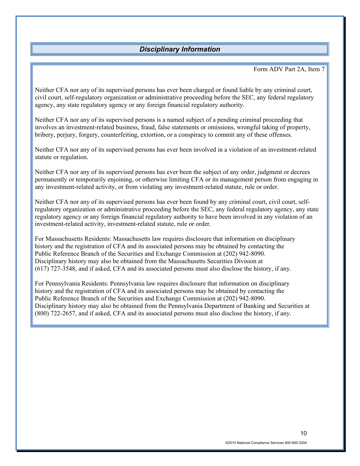# *Disciplinary Information*

#### Form ADV Part 2A, Item 7

<span id="page-11-0"></span>Neither CFA nor any of its supervised persons has ever been charged or found liable by any criminal court, civil court, self-regulatory organization or administrative proceeding before the SEC, any federal regulatory agency, any state regulatory agency or any foreign financial regulatory authority.

Neither CFA nor any of its supervised persons is a named subject of a pending criminal proceeding that involves an investment-related business, fraud, false statements or omissions, wrongful taking of property, bribery, perjury, forgery, counterfeiting, extortion, or a conspiracy to commit any of these offenses.

Neither CFA nor any of its supervised persons has ever been involved in a violation of an investment-related statute or regulation.

Neither CFA nor any of its supervised persons has ever been the subject of any order, judgment or decrees permanently or temporarily enjoining, or otherwise limiting CFA or its management person from engaging in any investment-related activity, or from violating any investment-related statute, rule or order.

Neither CFA nor any of its supervised persons has ever been found by any criminal court, civil court, selfregulatory organization or administrative proceeding before the SEC, any federal regulatory agency, any state regulatory agency or any foreign financial regulatory authority to have been involved in any violation of an investment-related activity, investment-related statute, rule or order.

For Massachusetts Residents: Massachusetts law requires disclosure that information on disciplinary history and the registration of CFA and its associated persons may be obtained by contacting the Public Reference Branch of the Securities and Exchange Commission at (202) 942-8090. Disciplinary history may also be obtained from the Massachusetts Securities Division at (617) 727-3548, and if asked, CFA and its associated persons must also disclose the history, if any.

For Pennsylvania Residents: Pennsylvania law requires disclosure that information on disciplinary history and the registration of CFA and its associated persons may be obtained by contacting the Public Reference Branch of the Securities and Exchange Commission at (202) 942-8090. Disciplinary history may also be obtained from the Pennsylvania Department of Banking and Securities at (800) 722-2657, and if asked, CFA and its associated persons must also disclose the history, if any.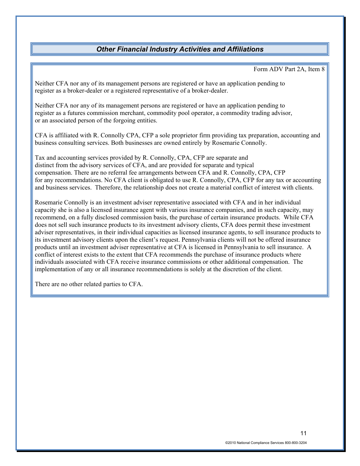# *Other Financial Industry Activities and Affiliations*

Form ADV Part 2A, Item 8

<span id="page-12-0"></span>Neither CFA nor any of its management persons are registered or have an application pending to register as a broker-dealer or a registered representative of a broker-dealer.

Neither CFA nor any of its management persons are registered or have an application pending to register as a futures commission merchant, commodity pool operator, a commodity trading advisor, or an associated person of the forgoing entities.

CFA is affiliated with R. Connolly CPA, CFP a sole proprietor firm providing tax preparation, accounting and business consulting services. Both businesses are owned entirely by Rosemarie Connolly.

Tax and accounting services provided by R. Connolly, CPA, CFP are separate and distinct from the advisory services of CFA, and are provided for separate and typical compensation. There are no referral fee arrangements between CFA and R. Connolly, CPA, CFP for any recommendations. No CFA client is obligated to use R. Connolly, CPA, CFP for any tax or accounting and business services. Therefore, the relationship does not create a material conflict of interest with clients.

Rosemarie Connolly is an investment adviser representative associated with CFA and in her individual capacity she is also a licensed insurance agent with various insurance companies, and in such capacity, may recommend, on a fully disclosed commission basis, the purchase of certain insurance products. While CFA does not sell such insurance products to its investment advisory clients, CFA does permit these investment adviser representatives, in their individual capacities as licensed insurance agents, to sell insurance products to its investment advisory clients upon the client's request. Pennsylvania clients will not be offered insurance products until an investment adviser representative at CFA is licensed in Pennsylvania to sell insurance. A conflict of interest exists to the extent that CFA recommends the purchase of insurance products where individuals associated with CFA receive insurance commissions or other additional compensation. The implementation of any or all insurance recommendations is solely at the discretion of the client.

There are no other related parties to CFA.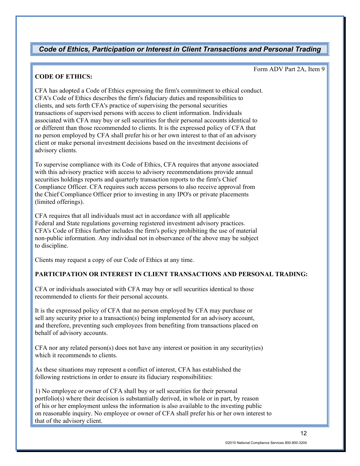# <span id="page-13-0"></span>*Code of Ethics, Participation or Interest in Client Transactions and Personal Trading*

#### Form ADV Part 2A, Item 9

### **CODE OF ETHICS:**

CFA has adopted a Code of Ethics expressing the firm's commitment to ethical conduct. CFA's Code of Ethics describes the firm's fiduciary duties and responsibilities to clients, and sets forth CFA's practice of supervising the personal securities transactions of supervised persons with access to client information. Individuals associated with CFA may buy or sell securities for their personal accounts identical to or different than those recommended to clients. It is the expressed policy of CFA that no person employed by CFA shall prefer his or her own interest to that of an advisory client or make personal investment decisions based on the investment decisions of advisory clients.

To supervise compliance with its Code of Ethics, CFA requires that anyone associated with this advisory practice with access to advisory recommendations provide annual securities holdings reports and quarterly transaction reports to the firm's Chief Compliance Officer. CFA requires such access persons to also receive approval from the Chief Compliance Officer prior to investing in any IPO's or private placements (limited offerings).

CFA requires that all individuals must act in accordance with all applicable Federal and State regulations governing registered investment advisory practices. CFA's Code of Ethics further includes the firm's policy prohibiting the use of material non-public information. Any individual not in observance of the above may be subject to discipline.

Clients may request a copy of our Code of Ethics at any time.

#### **PARTICIPATION OR INTEREST IN CLIENT TRANSACTIONS AND PERSONAL TRADING:**

CFA or individuals associated with CFA may buy or sell securities identical to those recommended to clients for their personal accounts.

It is the expressed policy of CFA that no person employed by CFA may purchase or sell any security prior to a transaction(s) being implemented for an advisory account, and therefore, preventing such employees from benefiting from transactions placed on behalf of advisory accounts.

CFA nor any related person(s) does not have any interest or position in any security(ies) which it recommends to clients.

As these situations may represent a conflict of interest, CFA has established the following restrictions in order to ensure its fiduciary responsibilities:

1) No employee or owner of CFA shall buy or sell securities for their personal portfolio(s) where their decision is substantially derived, in whole or in part, by reason of his or her employment unless the information is also available to the investing public on reasonable inquiry. No employee or owner of CFA shall prefer his or her own interest to that of the advisory client.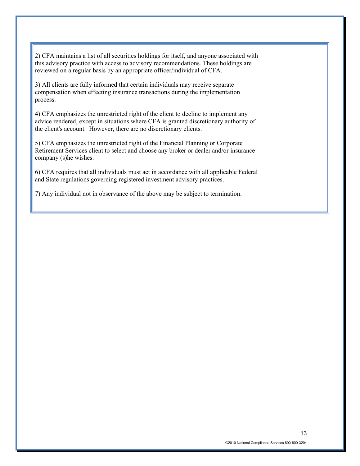2) CFA maintains a list of all securities holdings for itself, and anyone associated with this advisory practice with access to advisory recommendations. These holdings are reviewed on a regular basis by an appropriate officer/individual of CFA.

3) All clients are fully informed that certain individuals may receive separate compensation when effecting insurance transactions during the implementation process.

4) CFA emphasizes the unrestricted right of the client to decline to implement any advice rendered, except in situations where CFA is granted discretionary authority of the client's account. However, there are no discretionary clients.

5) CFA emphasizes the unrestricted right of the Financial Planning or Corporate Retirement Services client to select and choose any broker or dealer and/or insurance company (s)he wishes.

6) CFA requires that all individuals must act in accordance with all applicable Federal and State regulations governing registered investment advisory practices.

7) Any individual not in observance of the above may be subject to termination.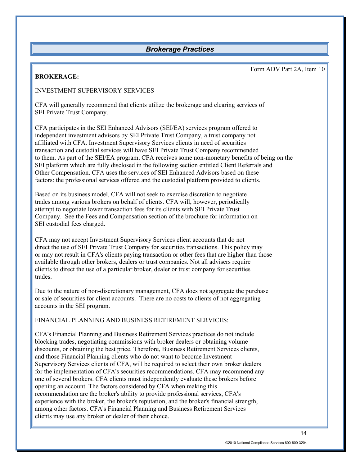### *Brokerage Practices*

### <span id="page-15-0"></span>**BROKERAGE:**

Form ADV Part 2A, Item 10

### INVESTMENT SUPERVISORY SERVICES

CFA will generally recommend that clients utilize the brokerage and clearing services of SEI Private Trust Company.

CFA participates in the SEI Enhanced Advisors (SEI/EA) services program offered to independent investment advisors by SEI Private Trust Company, a trust company not affiliated with CFA. Investment Supervisory Services clients in need of securities transaction and custodial services will have SEI Private Trust Company recommended to them. As part of the SEI/EA program, CFA receives some non-monetary benefits of being on the SEI platform which are fully disclosed in the following section entitled Client Referrals and Other Compensation. CFA uses the services of SEI Enhanced Advisors based on these factors: the professional services offered and the custodial platform provided to clients.

Based on its business model, CFA will not seek to exercise discretion to negotiate trades among various brokers on behalf of clients. CFA will, however, periodically attempt to negotiate lower transaction fees for its clients with SEI Private Trust Company. See the Fees and Compensation section of the brochure for information on SEI custodial fees charged.

CFA may not accept Investment Supervisory Services client accounts that do not direct the use of SEI Private Trust Company for securities transactions. This policy may or may not result in CFA's clients paying transaction or other fees that are higher than those available through other brokers, dealers or trust companies. Not all advisers require clients to direct the use of a particular broker, dealer or trust company for securities trades.

Due to the nature of non-discretionary management, CFA does not aggregate the purchase or sale of securities for client accounts. There are no costs to clients of not aggregating accounts in the SEI program.

FINANCIAL PLANNING AND BUSINESS RETIREMENT SERVICES:

CFA's Financial Planning and Business Retirement Services practices do not include blocking trades, negotiating commissions with broker dealers or obtaining volume discounts, or obtaining the best price. Therefore, Business Retirement Services clients, and those Financial Planning clients who do not want to become Investment Supervisory Services clients of CFA, will be required to select their own broker dealers for the implementation of CFA's securities recommendations. CFA may recommend any one of several brokers. CFA clients must independently evaluate these brokers before opening an account. The factors considered by CFA when making this recommendation are the broker's ability to provide professional services, CFA's experience with the broker, the broker's reputation, and the broker's financial strength, among other factors. CFA's Financial Planning and Business Retirement Services clients may use any broker or dealer of their choice.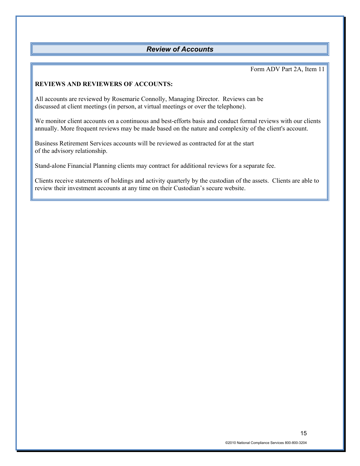## <span id="page-16-0"></span>*Review of Accounts*

Form ADV Part 2A, Item 11

### **REVIEWS AND REVIEWERS OF ACCOUNTS:**

All accounts are reviewed by Rosemarie Connolly, Managing Director. Reviews can be discussed at client meetings (in person, at virtual meetings or over the telephone).

We monitor client accounts on a continuous and best-efforts basis and conduct formal reviews with our clients annually. More frequent reviews may be made based on the nature and complexity of the client's account.

Business Retirement Services accounts will be reviewed as contracted for at the start of the advisory relationship.

Stand-alone Financial Planning clients may contract for additional reviews for a separate fee.

Clients receive statements of holdings and activity quarterly by the custodian of the assets. Clients are able to review their investment accounts at any time on their Custodian's secure website.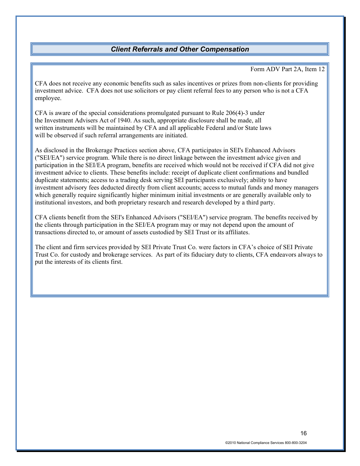# *Client Referrals and Other Compensation*

#### Form ADV Part 2A, Item 12

<span id="page-17-0"></span>CFA does not receive any economic benefits such as sales incentives or prizes from non-clients for providing investment advice. CFA does not use solicitors or pay client referral fees to any person who is not a CFA employee.

CFA is aware of the special considerations promulgated pursuant to Rule 206(4)-3 under the Investment Advisers Act of 1940. As such, appropriate disclosure shall be made, all written instruments will be maintained by CFA and all applicable Federal and/or State laws will be observed if such referral arrangements are initiated.

As disclosed in the Brokerage Practices section above, CFA participates in SEI's Enhanced Advisors ("SEI/EA") service program. While there is no direct linkage between the investment advice given and participation in the SEI/EA program, benefits are received which would not be received if CFA did not give investment advice to clients. These benefits include: receipt of duplicate client confirmations and bundled duplicate statements; access to a trading desk serving SEI participants exclusively; ability to have investment advisory fees deducted directly from client accounts; access to mutual funds and money managers which generally require significantly higher minimum initial investments or are generally available only to institutional investors, and both proprietary research and research developed by a third party.

CFA clients benefit from the SEI's Enhanced Advisors ("SEI/EA") service program. The benefits received by the clients through participation in the SEI/EA program may or may not depend upon the amount of transactions directed to, or amount of assets custodied by SEI Trust or its affiliates.

The client and firm services provided by SEI Private Trust Co. were factors in CFA's choice of SEI Private Trust Co. for custody and brokerage services. As part of its fiduciary duty to clients, CFA endeavors always to put the interests of its clients first.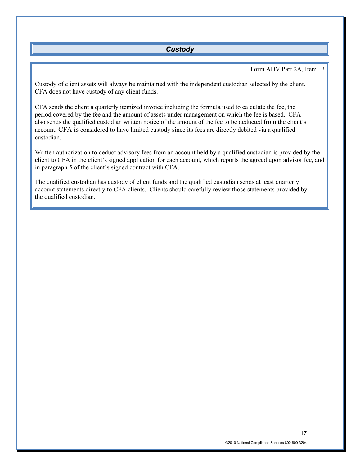### *Custody*

#### Form ADV Part 2A, Item 13

<span id="page-18-0"></span>Custody of client assets will always be maintained with the independent custodian selected by the client. CFA does not have custody of any client funds.

CFA sends the client a quarterly itemized invoice including the formula used to calculate the fee, the period covered by the fee and the amount of assets under management on which the fee is based. CFA also sends the qualified custodian written notice of the amount of the fee to be deducted from the client's account. CFA is considered to have limited custody since its fees are directly debited via a qualified custodian.

Written authorization to deduct advisory fees from an account held by a qualified custodian is provided by the client to CFA in the client's signed application for each account, which reports the agreed upon advisor fee, and in paragraph 5 of the client's signed contract with CFA.

The qualified custodian has custody of client funds and the qualified custodian sends at least quarterly account statements directly to CFA clients. Clients should carefully review those statements provided by the qualified custodian.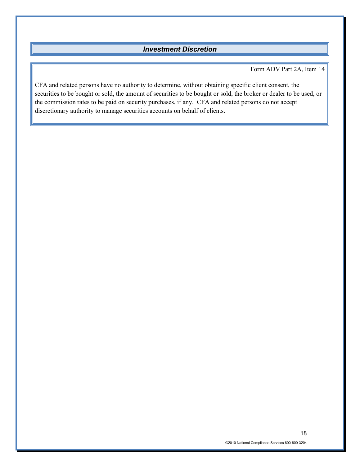# *Investment Discretion*

Form ADV Part 2A, Item 14

<span id="page-19-0"></span>CFA and related persons have no authority to determine, without obtaining specific client consent, the securities to be bought or sold, the amount of securities to be bought or sold, the broker or dealer to be used, or the commission rates to be paid on security purchases, if any. CFA and related persons do not accept discretionary authority to manage securities accounts on behalf of clients.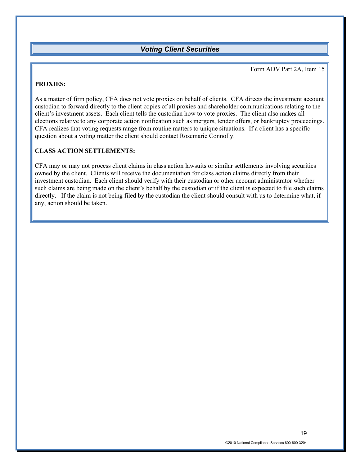### *Voting Client Securities*

Form ADV Part 2A, Item 15

### <span id="page-20-0"></span>**PROXIES:**

As a matter of firm policy, CFA does not vote proxies on behalf of clients. CFA directs the investment account custodian to forward directly to the client copies of all proxies and shareholder communications relating to the client's investment assets. Each client tells the custodian how to vote proxies. The client also makes all elections relative to any corporate action notification such as mergers, tender offers, or bankruptcy proceedings. CFA realizes that voting requests range from routine matters to unique situations. If a client has a specific question about a voting matter the client should contact Rosemarie Connolly.

### **CLASS ACTION SETTLEMENTS:**

CFA may or may not process client claims in class action lawsuits or similar settlements involving securities owned by the client. Clients will receive the documentation for class action claims directly from their investment custodian. Each client should verify with their custodian or other account administrator whether such claims are being made on the client's behalf by the custodian or if the client is expected to file such claims directly. If the claim is not being filed by the custodian the client should consult with us to determine what, if any, action should be taken.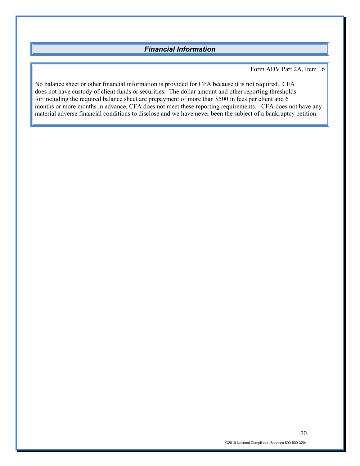## *Financial Information*

Form ADV Part 2A, Item 16

<span id="page-21-0"></span>No balance sheet or other financial information is provided for CFA because it is not required. CFA does not have custody of client funds or securities. The dollar amount and other reporting thresholds for including the required balance sheet are prepayment of more than \$500 in fees per client and 6 months or more months in advance. CFA does not meet these reporting requirements. CFA does not have any material adverse financial conditions to disclose and we have never been the subject of a bankruptcy petition.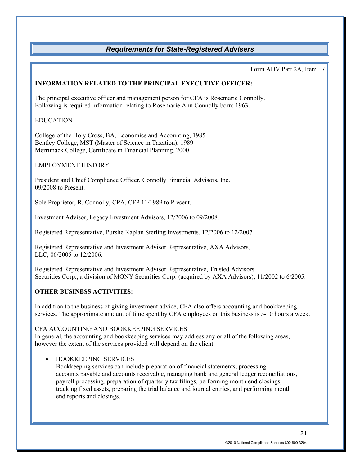# *Requirements for State-Registered Advisers*

Form ADV Part 2A, Item 17

#### <span id="page-22-0"></span>**INFORMATION RELATED TO THE PRINCIPAL EXECUTIVE OFFICER:**

The principal executive officer and management person for CFA is Rosemarie Connolly. Following is required information relating to Rosemarie Ann Connolly born: 1963.

#### EDUCATION

College of the Holy Cross, BA, Economics and Accounting, 1985 Bentley College, MST (Master of Science in Taxation), 1989 Merrimack College, Certificate in Financial Planning, 2000

### EMPLOYMENT HISTORY

President and Chief Compliance Officer, Connolly Financial Advisors, Inc. 09/2008 to Present.

Sole Proprietor, R. Connolly, CPA, CFP 11/1989 to Present.

Investment Advisor, Legacy Investment Advisors, 12/2006 to 09/2008.

Registered Representative, Purshe Kaplan Sterling Investments, 12/2006 to 12/2007

Registered Representative and Investment Advisor Representative, AXA Advisors, LLC, 06/2005 to 12/2006.

Registered Representative and Investment Advisor Representative, Trusted Advisors Securities Corp., a division of MONY Securities Corp. (acquired by AXA Advisors), 11/2002 to 6/2005.

### **OTHER BUSINESS ACTIVITIES:**

In addition to the business of giving investment advice, CFA also offers accounting and bookkeeping services. The approximate amount of time spent by CFA employees on this business is 5-10 hours a week.

#### CFA ACCOUNTING AND BOOKKEEPING SERVICES

In general, the accounting and bookkeeping services may address any or all of the following areas, however the extent of the services provided will depend on the client:

#### • BOOKKEEPING SERVICES

Bookkeeping services can include preparation of financial statements, processing accounts payable and accounts receivable, managing bank and general ledger reconciliations, payroll processing, preparation of quarterly tax filings, performing month end closings, tracking fixed assets, preparing the trial balance and journal entries, and performing month end reports and closings.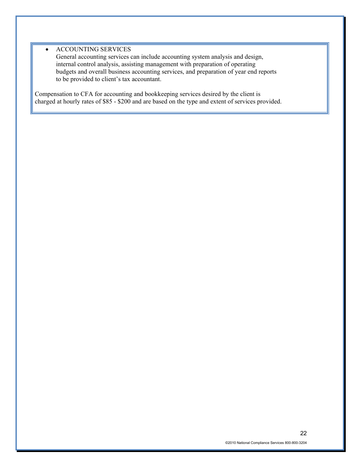#### • ACCOUNTING SERVICES

General accounting services can include accounting system analysis and design, internal control analysis, assisting management with preparation of operating budgets and overall business accounting services, and preparation of year end reports to be provided to client's tax accountant.

Compensation to CFA for accounting and bookkeeping services desired by the client is charged at hourly rates of \$85 - \$200 and are based on the type and extent of services provided.